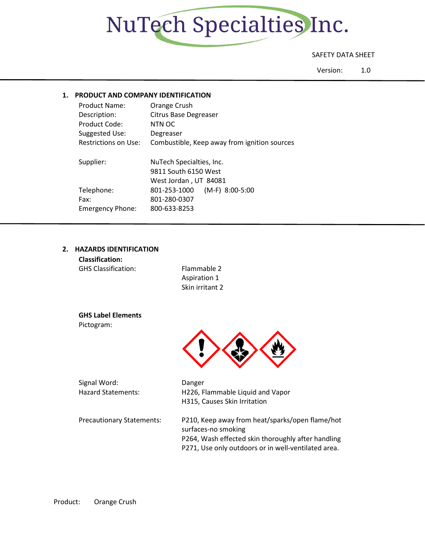

### SAFETY DATA SHEET

Version: 1.0

### **1. PRODUCT AND COMPANY IDENTIFICATION**

| <b>Product Name:</b>    | Orange Crush                                 |  |  |
|-------------------------|----------------------------------------------|--|--|
| Description:            | Citrus Base Degreaser                        |  |  |
| Product Code:           | NTN OC                                       |  |  |
| Suggested Use:          | Degreaser                                    |  |  |
| Restrictions on Use:    | Combustible, Keep away from ignition sources |  |  |
|                         |                                              |  |  |
| Supplier:               | NuTech Specialties, Inc.                     |  |  |
|                         | 9811 South 6150 West                         |  |  |
|                         | West Jordan, UT 84081                        |  |  |
| Telephone:              | $(M-F)$ 8:00-5:00<br>801-253-1000            |  |  |
| Fax:                    | 801-280-0307                                 |  |  |
| <b>Emergency Phone:</b> | 800-633-8253                                 |  |  |
|                         |                                              |  |  |

#### **2. HAZARDS IDENTIFICATION**

| <b>Classification:</b>     |                 |
|----------------------------|-----------------|
| <b>GHS Classification:</b> | Flammable 2     |
|                            | Aspiration 1    |
|                            | Skin irritant 2 |
|                            |                 |

**GHS Label Elements** Pictogram:



irritant 2

| Signal Word:              |  |
|---------------------------|--|
| <b>Hazard Statements:</b> |  |

Danger H226, Flammable Liquid and Vapor H315, Causes Skin Irritation

Precautionary Statements: P210, Keep away from heat/sparks/open flame/hot surfaces-no smoking P264, Wash effected skin thoroughly after handling P271, Use only outdoors or in well-ventilated area.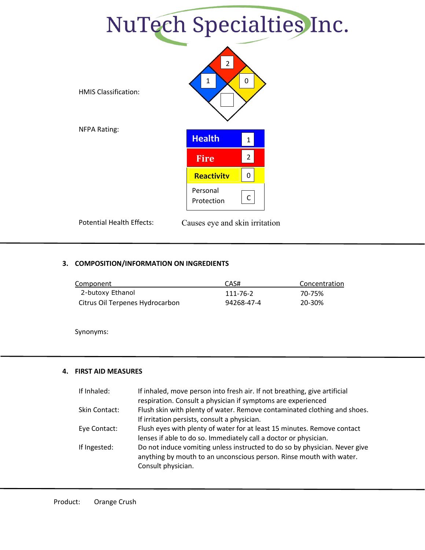

## **3. COMPOSITION/INFORMATION ON INGREDIENTS**

| Component                       | CAS#       | Concentration |
|---------------------------------|------------|---------------|
| 2-butoxy Ethanol                | 111-76-2   | 70-75%        |
| Citrus Oil Terpenes Hydrocarbon | 94268-47-4 | 20-30%        |

Synonyms:

### **4. FIRST AID MEASURES**

| If Inhaled:   | If inhaled, move person into fresh air. If not breathing, give artificial                                                                                               |
|---------------|-------------------------------------------------------------------------------------------------------------------------------------------------------------------------|
|               | respiration. Consult a physician if symptoms are experienced                                                                                                            |
| Skin Contact: | Flush skin with plenty of water. Remove contaminated clothing and shoes.                                                                                                |
|               | If irritation persists, consult a physician.                                                                                                                            |
| Eye Contact:  | Flush eyes with plenty of water for at least 15 minutes. Remove contact                                                                                                 |
|               | lenses if able to do so. Immediately call a doctor or physician.                                                                                                        |
| If Ingested:  | Do not induce vomiting unless instructed to do so by physician. Never give<br>anything by mouth to an unconscious person. Rinse mouth with water.<br>Consult physician. |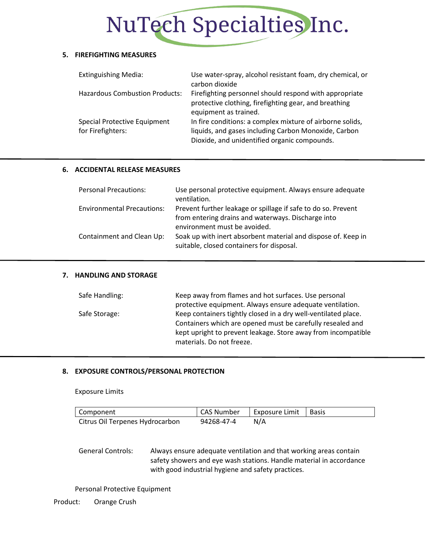## NuTech Specialties Inc.

#### **5. FIREFIGHTING MEASURES**

| <b>Extinguishing Media:</b>                       | Use water-spray, alcohol resistant foam, dry chemical, or<br>carbon dioxide                                                                                       |
|---------------------------------------------------|-------------------------------------------------------------------------------------------------------------------------------------------------------------------|
| <b>Hazardous Combustion Products:</b>             | Firefighting personnel should respond with appropriate<br>protective clothing, firefighting gear, and breathing<br>equipment as trained.                          |
| Special Protective Equipment<br>for Firefighters: | In fire conditions: a complex mixture of airborne solids,<br>liquids, and gases including Carbon Monoxide, Carbon<br>Dioxide, and unidentified organic compounds. |

### **6. ACCIDENTAL RELEASE MEASURES**

| <b>Personal Precautions:</b>      | Use personal protective equipment. Always ensure adequate<br>ventilation.                                           |
|-----------------------------------|---------------------------------------------------------------------------------------------------------------------|
| <b>Environmental Precautions:</b> | Prevent further leakage or spillage if safe to do so. Prevent<br>from entering drains and waterways. Discharge into |
|                                   | environment must be avoided.                                                                                        |
| Containment and Clean Up:         | Soak up with inert absorbent material and dispose of. Keep in<br>suitable, closed containers for disposal.          |

## **7. HANDLING AND STORAGE**

| Safe Handling: | Keep away from flames and hot surfaces. Use personal           |  |  |
|----------------|----------------------------------------------------------------|--|--|
|                | protective equipment. Always ensure adequate ventilation.      |  |  |
| Safe Storage:  | Keep containers tightly closed in a dry well-ventilated place. |  |  |
|                | Containers which are opened must be carefully resealed and     |  |  |
|                | kept upright to prevent leakage. Store away from incompatible  |  |  |
|                | materials. Do not freeze.                                      |  |  |

## **8. EXPOSURE CONTROLS/PERSONAL PROTECTION**

Exposure Limits

| Component                       | <b>CAS Number</b> | Exposure Limit   Basis |  |
|---------------------------------|-------------------|------------------------|--|
| Citrus Oil Terpenes Hydrocarbon | 94268-47-4        | N/A                    |  |

General Controls: Always ensure adequate ventilation and that working areas contain safety showers and eye wash stations. Handle material in accordance with good industrial hygiene and safety practices.

Personal Protective Equipment

Product: Orange Crush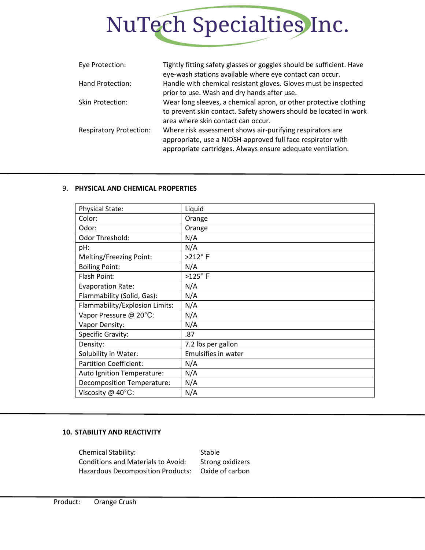

| Eye Protection:                | Tightly fitting safety glasses or goggles should be sufficient. Have<br>eye-wash stations available where eye contact can occur.                                                        |
|--------------------------------|-----------------------------------------------------------------------------------------------------------------------------------------------------------------------------------------|
| Hand Protection:               | Handle with chemical resistant gloves. Gloves must be inspected<br>prior to use. Wash and dry hands after use.                                                                          |
| <b>Skin Protection:</b>        | Wear long sleeves, a chemical apron, or other protective clothing<br>to prevent skin contact. Safety showers should be located in work<br>area where skin contact can occur.            |
| <b>Respiratory Protection:</b> | Where risk assessment shows air-purifying respirators are<br>appropriate, use a NIOSH-approved full face respirator with<br>appropriate cartridges. Always ensure adequate ventilation. |

### 9. **PHYSICAL AND CHEMICAL PROPERTIES**

| <b>Physical State:</b>         | Liquid              |
|--------------------------------|---------------------|
| Color:                         | Orange              |
| Odor:                          | Orange              |
| Odor Threshold:                | N/A                 |
| pH:                            | N/A                 |
| Melting/Freezing Point:        | $>212^\circ$ F      |
| <b>Boiling Point:</b>          | N/A                 |
| Flash Point:                   | $>125^\circ$ F      |
| <b>Evaporation Rate:</b>       | N/A                 |
| Flammability (Solid, Gas):     | N/A                 |
| Flammability/Explosion Limits: | N/A                 |
| Vapor Pressure @ 20°C:         | N/A                 |
| Vapor Density:                 | N/A                 |
| Specific Gravity:              | .87                 |
| Density:                       | 7.2 lbs per gallon  |
| Solubility in Water:           | Emulsifies in water |
| <b>Partition Coefficient:</b>  | N/A                 |
| Auto Ignition Temperature:     | N/A                 |
| Decomposition Temperature:     | N/A                 |
| Viscosity @ 40°C:              | N/A                 |

### **10. STABILITY AND REACTIVITY**

Chemical Stability: Stable Conditions and Materials to Avoid: Strong oxidizers Hazardous Decomposition Products: Oxide of carbon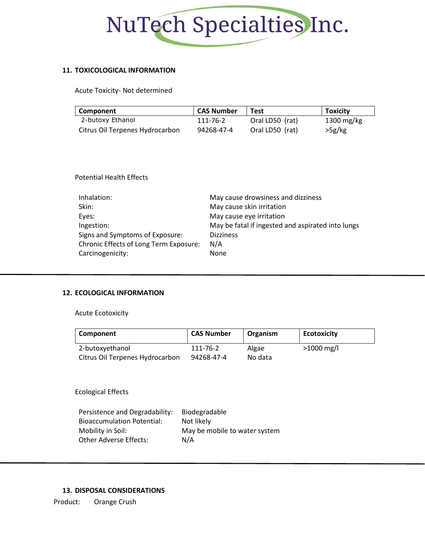

### **11. TOXICOLOGICAL INFORMATION**

Acute Toxicity- Not determined

| Component                       | <b>CAS Number</b> | <b>Test</b>     | <b>Toxicity</b>      |
|---------------------------------|-------------------|-----------------|----------------------|
| 2-butoxy Ethanol                | 111-76-2          | Oral LD50 (rat) | $1300 \text{ mg/kg}$ |
| Citrus Oil Terpenes Hydrocarbon | 94268-47-4        | Oral LD50 (rat) | >5g/kg               |

### Potential Health Effects

| Inhalation:                            | May cause drowsiness and dizziness                |
|----------------------------------------|---------------------------------------------------|
| Skin:                                  | May cause skin irritation                         |
| Eyes:                                  | May cause eye irritation                          |
| Ingestion:                             | May be fatal if ingested and aspirated into lungs |
| Signs and Symptoms of Exposure:        | <b>Dizziness</b>                                  |
| Chronic Effects of Long Term Exposure: | N/A                                               |
| Carcinogenicity:                       | None                                              |

### **12. ECOLOGICAL INFORMATION**

Acute Ecotoxicity

| Component                       | <b>CAS Number</b> | Organism | <b>Ecotoxicity</b> |
|---------------------------------|-------------------|----------|--------------------|
| 2-butoxyethanol                 | 111-76-2          | Algae    | $>1000$ mg/l       |
| Citrus Oil Terpenes Hydrocarbon | 94268-47-4        | No data  |                    |

Ecological Effects

| Persistence and Degradability:    | <b>Biodegradable</b>          |
|-----------------------------------|-------------------------------|
| <b>Bioaccumulation Potential:</b> | Not likely                    |
| Mobility in Soil:                 | May be mobile to water system |
| Other Adverse Effects:            | N/A                           |

### **13. DISPOSAL CONSIDERATIONS**

Product: Orange Crush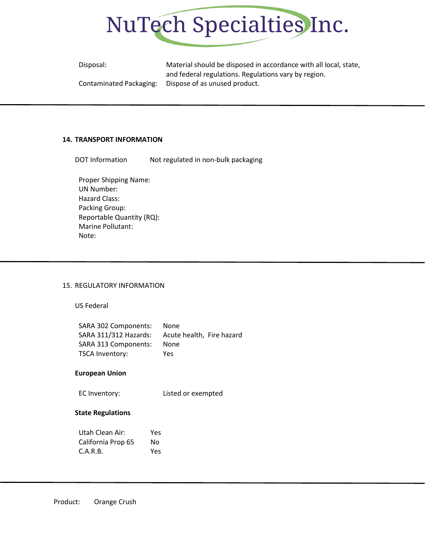

| Disposal:               | Material should be disposed in accordance with all local, state, |
|-------------------------|------------------------------------------------------------------|
|                         | and federal regulations. Regulations vary by region.             |
| Contaminated Packaging: | Dispose of as unused product.                                    |

#### **14. TRANSPORT INFORMATION**

DOT Information Mot regulated in non-bulk packaging

Proper Shipping Name: UN Number: Hazard Class: Packing Group: Reportable Quantity (RQ): Marine Pollutant: Note:

#### 15. REGULATORY INFORMATION

US Federal

| SARA 302 Components:  | <b>None</b>               |
|-----------------------|---------------------------|
| SARA 311/312 Hazards: | Acute health, Fire hazard |
| SARA 313 Components:  | None                      |
| TSCA Inventory:       | Yes                       |

#### **European Union**

EC Inventory: Listed or exempted

#### **State Regulations**

| Utah Clean Air:    | Yes |
|--------------------|-----|
| California Prop 65 | No  |
| C.A.R.B.           | Yes |